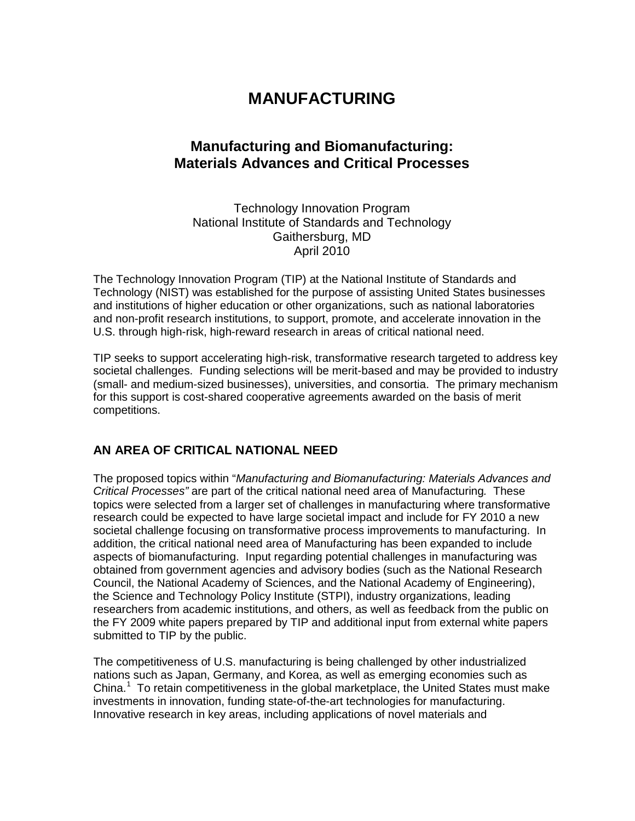# **MANUFACTURING**

# **Manufacturing and Biomanufacturing: Materials Advances and Critical Processes**

Technology Innovation Program National Institute of Standards and Technology Gaithersburg, MD April 2010

The Technology Innovation Program (TIP) at the National Institute of Standards and Technology (NIST) was established for the purpose of assisting United States businesses and institutions of higher education or other organizations, such as national laboratories and non-profit research institutions, to support, promote, and accelerate innovation in the U.S. through high-risk, high-reward research in areas of critical national need.

TIP seeks to support accelerating high-risk, transformative research targeted to address key societal challenges. Funding selections will be merit-based and may be provided to industry (small- and medium-sized businesses), universities, and consortia. The primary mechanism for this support is cost-shared cooperative agreements awarded on the basis of merit competitions.

### **AN AREA OF CRITICAL NATIONAL NEED**

The proposed topics within "*Manufacturing and Biomanufacturing: Materials Advances and Critical Processes"* are part of the critical national need area of Manufacturing*.* These topics were selected from a larger set of challenges in manufacturing where transformative research could be expected to have large societal impact and include for FY 2010 a new societal challenge focusing on transformative process improvements to manufacturing. In addition, the critical national need area of Manufacturing has been expanded to include aspects of biomanufacturing. Input regarding potential challenges in manufacturing was obtained from government agencies and advisory bodies (such as the National Research Council, the National Academy of Sciences, and the National Academy of Engineering), the Science and Technology Policy Institute (STPI), industry organizations, leading researchers from academic institutions, and others, as well as feedback from the public on the FY 2009 white papers prepared by TIP and additional input from external white papers submitted to TIP by the public.

The competitiveness of U.S. manufacturing is being challenged by other industrialized nations such as Japan, Germany, and Korea, as well as emerging economies such as China. $1$  To retain competitiveness in the global marketplace, the United States must make investments in innovation, funding state-of-the-art technologies for manufacturing. Innovative research in key areas, including applications of novel materials and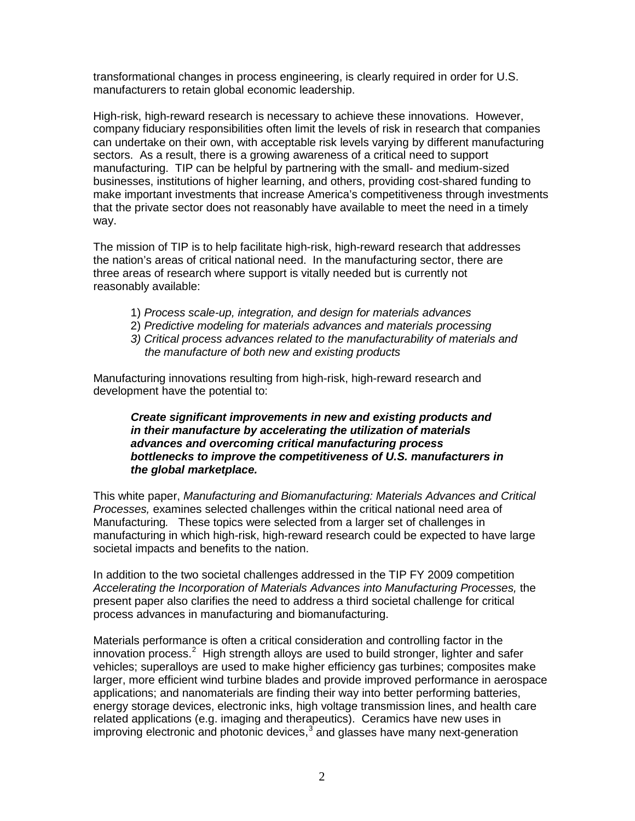transformational changes in process engineering, is clearly required in order for U.S. manufacturers to retain global economic leadership.

High-risk, high-reward research is necessary to achieve these innovations. However, company fiduciary responsibilities often limit the levels of risk in research that companies can undertake on their own, with acceptable risk levels varying by different manufacturing sectors. As a result, there is a growing awareness of a critical need to support manufacturing. TIP can be helpful by partnering with the small- and medium-sized businesses, institutions of higher learning, and others, providing cost-shared funding to make important investments that increase America's competitiveness through investments that the private sector does not reasonably have available to meet the need in a timely way.

The mission of TIP is to help facilitate high-risk, high-reward research that addresses the nation's areas of critical national need. In the manufacturing sector, there are three areas of research where support is vitally needed but is currently not reasonably available:

- 1) *Process scale-up, integration, and design for materials advances*
- 2) *Predictive modeling for materials advances and materials processing*
- *3) Critical process advances related to the manufacturability of materials and the manufacture of both new and existing products*

Manufacturing innovations resulting from high-risk, high-reward research and development have the potential to:

#### *Create significant improvements in new and existing products and in their manufacture by accelerating the utilization of materials advances and overcoming critical manufacturing process bottlenecks to improve the competitiveness of U.S. manufacturers in the global marketplace.*

This white paper, *Manufacturing and Biomanufacturing: Materials Advances and Critical Processes,* examines selected challenges within the critical national need area of Manufacturing*.* These topics were selected from a larger set of challenges in manufacturing in which high-risk, high-reward research could be expected to have large societal impacts and benefits to the nation.

In addition to the two societal challenges addressed in the TIP FY 2009 competition *Accelerating the Incorporation of Materials Advances into Manufacturing Processes,* the present paper also clarifies the need to address a third societal challenge for critical process advances in manufacturing and biomanufacturing.

Materials performance is often a critical consideration and controlling factor in the innovation process. $2$  High strength alloys are used to build stronger, lighter and safer vehicles; superalloys are used to make higher efficiency gas turbines; composites make larger, more efficient wind turbine blades and provide improved performance in aerospace applications; and nanomaterials are finding their way into better performing batteries, energy storage devices, electronic inks, high voltage transmission lines, and health care related applications (e.g. imaging and therapeutics). Ceramics have new uses in improving electronic and photonic devices, $3$  and glasses have many next-generation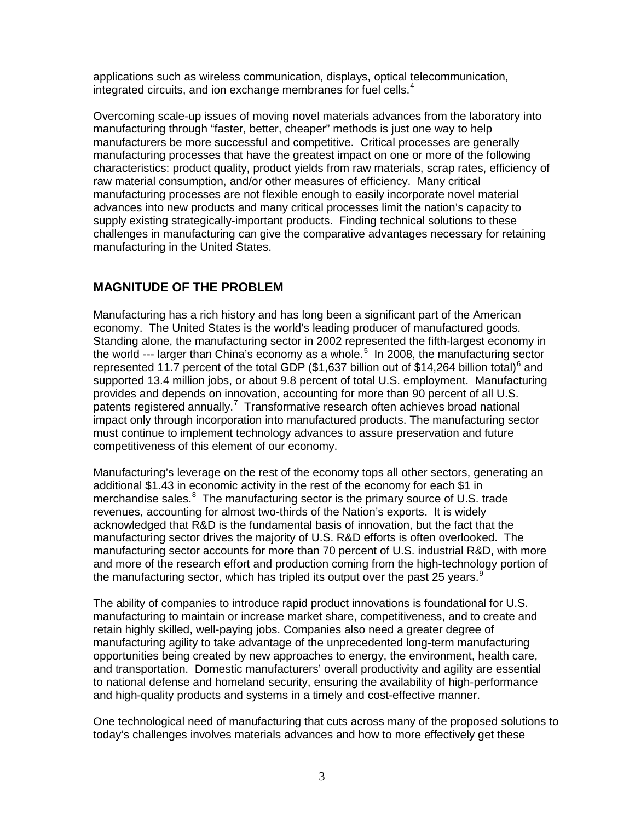applications such as wireless communication, displays, optical telecommunication, integrated circuits, and ion exchange membranes for fuel cells. $4$ 

Overcoming scale-up issues of moving novel materials advances from the laboratory into manufacturing through "faster, better, cheaper" methods is just one way to help manufacturers be more successful and competitive. Critical processes are generally manufacturing processes that have the greatest impact on one or more of the following characteristics: product quality, product yields from raw materials, scrap rates, efficiency of raw material consumption, and/or other measures of efficiency. Many critical manufacturing processes are not flexible enough to easily incorporate novel material advances into new products and many critical processes limit the nation's capacity to supply existing strategically-important products. Finding technical solutions to these challenges in manufacturing can give the comparative advantages necessary for retaining manufacturing in the United States.

### **MAGNITUDE OF THE PROBLEM**

Manufacturing has a rich history and has long been a significant part of the American economy. The United States is the world's leading producer of manufactured goods. Standing alone, the manufacturing sector in 2002 represented the fifth-largest economy in the world  $-$ -- larger than China's economy as a whole.<sup>[5](#page-13-4)</sup> In 2008, the manufacturing sector represented 11.7 percent of the total GDP (\$1,[6](#page-13-5)37 billion out of \$14,264 billion total)<sup>6</sup> and supported 13.4 million jobs, or about 9.8 percent of total U.S. employment. Manufacturing provides and depends on innovation, accounting for more than 90 percent of all U.S. patents registered annually.<sup>[7](#page-13-6)</sup> Transformative research often achieves broad national impact only through incorporation into manufactured products. The manufacturing sector must continue to implement technology advances to assure preservation and future competitiveness of this element of our economy.

Manufacturing's leverage on the rest of the economy tops all other sectors, generating an additional \$1.43 in economic activity in the rest of the economy for each \$1 in merchandise sales.<sup>[8](#page-13-7)</sup> The manufacturing sector is the primary source of U.S. trade revenues, accounting for almost two-thirds of the Nation's exports. It is widely acknowledged that R&D is the fundamental basis of innovation, but the fact that the manufacturing sector drives the majority of U.S. R&D efforts is often overlooked. The manufacturing sector accounts for more than 70 percent of U.S. industrial R&D, with more and more of the research effort and production coming from the high-technology portion of the manufacturing sector, which has tripled its output over the past 25 years. $9$ 

The ability of companies to introduce rapid product innovations is foundational for U.S. manufacturing to maintain or increase market share, competitiveness, and to create and retain highly skilled, well-paying jobs. Companies also need a greater degree of manufacturing agility to take advantage of the unprecedented long-term manufacturing opportunities being created by new approaches to energy, the environment, health care, and transportation. Domestic manufacturers' overall productivity and agility are essential to national defense and homeland security, ensuring the availability of high-performance and high-quality products and systems in a timely and cost-effective manner.

One technological need of manufacturing that cuts across many of the proposed solutions to today's challenges involves materials advances and how to more effectively get these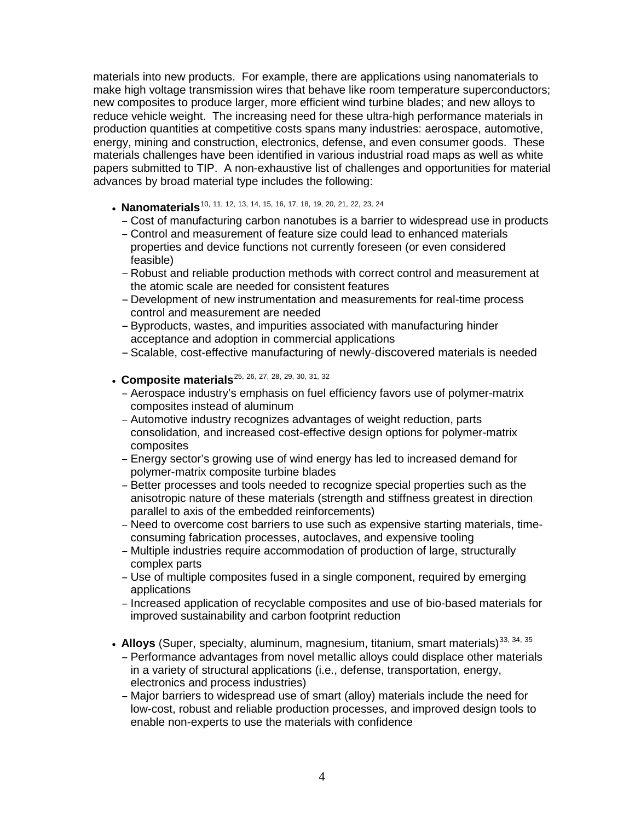materials into new products. For example, there are applications using nanomaterials to make high voltage transmission wires that behave like room temperature superconductors; new composites to produce larger, more efficient wind turbine blades; and new alloys to reduce vehicle weight. The increasing need for these ultra-high performance materials in production quantities at competitive costs spans many industries: aerospace, automotive, energy, mining and construction, electronics, defense, and even consumer goods. These materials challenges have been identified in various industrial road maps as well as white papers submitted to TIP. A non-exhaustive list of challenges and opportunities for material advances by broad material type includes the following:

- **Nanomaterials**<sup>[10](#page-13-9), [11](#page-13-10), [12](#page-13-11), [13](#page-13-12), [14](#page-13-13), [15](#page-13-14), [16](#page-13-15), [17,](#page-13-16) [18,](#page-13-17) [19,](#page-13-18) [20,](#page-13-19) [21,](#page-13-20) [22,](#page-13-21) [23](#page-13-22), [24](#page-13-23)</sup>
	- Cost of manufacturing carbon nanotubes is a barrier to widespread use in products
	- Control and measurement of feature size could lead to enhanced materials properties and device functions not currently foreseen (or even considered feasible)
	- Robust and reliable production methods with correct control and measurement at the atomic scale are needed for consistent features
	- Development of new instrumentation and measurements for real-time process control and measurement are needed
	- –Byproducts, wastes, and impurities associated with manufacturing hinder acceptance and adoption in commercial applications
	- –Scalable, cost-effective manufacturing of newly-discovered materials is needed
- Composite materials<sup>[25](#page-13-24), [26,](#page-13-25) [27,](#page-13-26) [28,](#page-13-27) [29,](#page-13-28) [30,](#page-13-29) [31,](#page-14-0) [32](#page-14-1)</sup>
	- Aerospace industry's emphasis on fuel efficiency favors use of polymer-matrix composites instead of aluminum
	- Automotive industry recognizes advantages of weight reduction, parts consolidation, and increased cost-effective design options for polymer-matrix composites
	- Energy sector's growing use of wind energy has led to increased demand for polymer-matrix composite turbine blades
	- Better processes and tools needed to recognize special properties such as the anisotropic nature of these materials (strength and stiffness greatest in direction parallel to axis of the embedded reinforcements)
	- Need to overcome cost barriers to use such as expensive starting materials, timeconsuming fabrication processes, autoclaves, and expensive tooling
	- Multiple industries require accommodation of production of large, structurally complex parts
	- Use of multiple composites fused in a single component, required by emerging applications
	- Increased application of recyclable composites and use of bio-based materials for improved sustainability and carbon footprint reduction
- Alloys (Super, specialty, aluminum, magnesium, titanium, smart materials)<sup>[33,](#page-14-2) [34,](#page-14-3) [35](#page-14-4)</sup>
	- Performance advantages from novel metallic alloys could displace other materials in a variety of structural applications (i.e., defense, transportation, energy, electronics and process industries)
	- Major barriers to widespread use of smart (alloy) materials include the need for low-cost, robust and reliable production processes, and improved design tools to enable non-experts to use the materials with confidence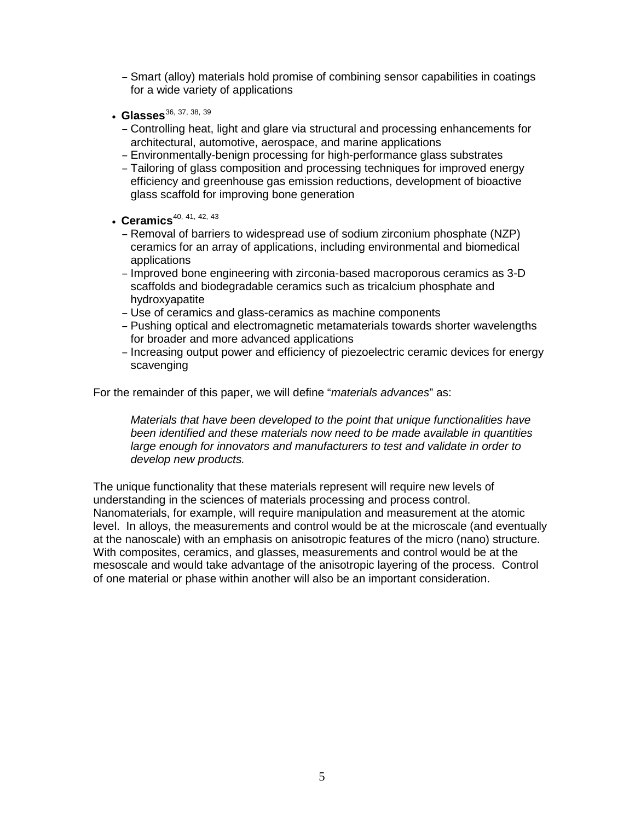- Smart (alloy) materials hold promise of combining sensor capabilities in coatings for a wide variety of applications
- **Glasses**<sup>[36](#page-14-5), [37,](#page-14-6) [38,](#page-14-7) [39](#page-14-8)</sup>
	- Controlling heat, light and glare via structural and processing enhancements for architectural, automotive, aerospace, and marine applications
	- Environmentally-benign processing for high-performance glass substrates
	- Tailoring of glass composition and processing techniques for improved energy efficiency and greenhouse gas emission reductions, development of bioactive glass scaffold for improving bone generation
- **Ceramics**<sup>[40,](#page-14-9) [41,](#page-14-10) [42,](#page-14-11) [43](#page-14-12)</sup>
	- Removal of barriers to widespread use of sodium zirconium phosphate (NZP) ceramics for an array of applications, including environmental and biomedical applications
	- Improved bone engineering with zirconia-based macroporous ceramics as 3-D scaffolds and biodegradable ceramics such as tricalcium phosphate and hydroxyapatite
	- Use of ceramics and glass-ceramics as machine components
	- Pushing optical and electromagnetic metamaterials towards shorter wavelengths for broader and more advanced applications
	- Increasing output power and efficiency of piezoelectric ceramic devices for energy scavenging

For the remainder of this paper, we will define "*materials advances*" as:

*Materials that have been developed to the point that unique functionalities have been identified and these materials now need to be made available in quantities large enough for innovators and manufacturers to test and validate in order to develop new products.*

The unique functionality that these materials represent will require new levels of understanding in the sciences of materials processing and process control. Nanomaterials, for example, will require manipulation and measurement at the atomic level. In alloys, the measurements and control would be at the microscale (and eventually at the nanoscale) with an emphasis on anisotropic features of the micro (nano) structure. With composites, ceramics, and glasses, measurements and control would be at the mesoscale and would take advantage of the anisotropic layering of the process. Control of one material or phase within another will also be an important consideration.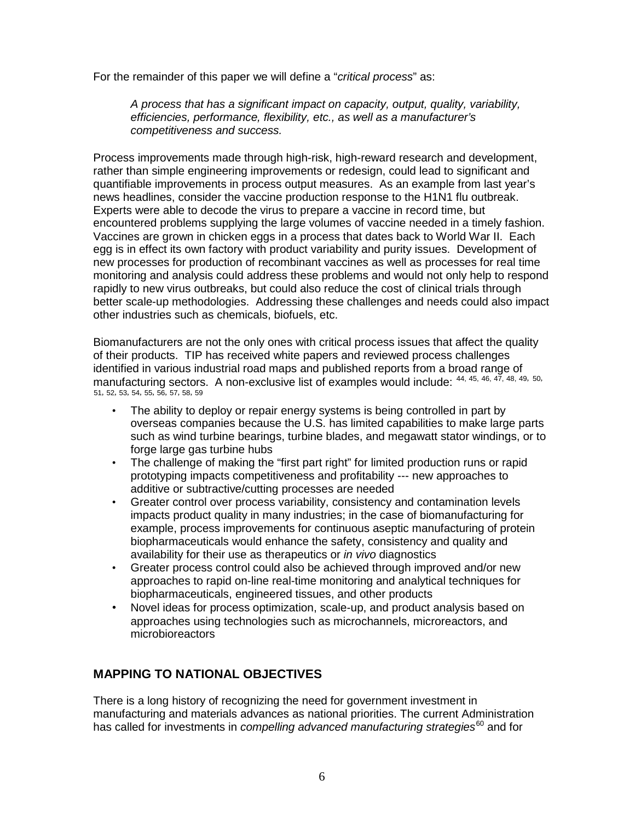For the remainder of this paper we will define a "*critical process*" as:

*A process that has a significant impact on capacity, output, quality, variability, efficiencies, performance, flexibility, etc., as well as a manufacturer's competitiveness and success.* 

Process improvements made through high-risk, high-reward research and development, rather than simple engineering improvements or redesign, could lead to significant and quantifiable improvements in process output measures. As an example from last year's news headlines, consider the vaccine production response to the H1N1 flu outbreak. Experts were able to decode the virus to prepare a vaccine in record time, but encountered problems supplying the large volumes of vaccine needed in a timely fashion. Vaccines are grown in chicken eggs in a process that dates back to World War II. Each egg is in effect its own factory with product variability and purity issues. Development of new processes for production of recombinant vaccines as well as processes for real time monitoring and analysis could address these problems and would not only help to respond rapidly to new virus outbreaks, but could also reduce the cost of clinical trials through better scale-up methodologies. Addressing these challenges and needs could also impact other industries such as chemicals, biofuels, etc.

Biomanufacturers are not the only ones with critical process issues that affect the quality of their products. TIP has received white papers and reviewed process challenges identified in various industrial road maps and published reports from a broad range of manufacturing sectors. A non-exclusive list of examples would include: [44,](#page-14-13) [45,](#page-14-14) [46](#page-14-15), [47](#page-14-16), [48](#page-14-17), [49](#page-14-18), [50](#page-14-19), [51](#page-14-20), [52](#page-14-21), [53](#page-14-22), [54](#page-14-23), [55](#page-14-24), [56](#page-14-25), [57](#page-14-26), [58](#page-14-27), [59](#page-14-28)

- The ability to deploy or repair energy systems is being controlled in part by overseas companies because the U.S. has limited capabilities to make large parts such as wind turbine bearings, turbine blades, and megawatt stator windings, or to forge large gas turbine hubs
- The challenge of making the "first part right" for limited production runs or rapid prototyping impacts competitiveness and profitability --- new approaches to additive or subtractive/cutting processes are needed
- Greater control over process variability, consistency and contamination levels impacts product quality in many industries; in the case of biomanufacturing for example, process improvements for continuous aseptic manufacturing of protein biopharmaceuticals would enhance the safety, consistency and quality and availability for their use as therapeutics or *in vivo* diagnostics
- Greater process control could also be achieved through improved and/or new approaches to rapid on-line real-time monitoring and analytical techniques for biopharmaceuticals, engineered tissues, and other products
- Novel ideas for process optimization, scale-up, and product analysis based on approaches using technologies such as microchannels, microreactors, and microbioreactors

## **MAPPING TO NATIONAL OBJECTIVES**

There is a long history of recognizing the need for government investment in manufacturing and materials advances as national priorities. The current Administration has called for investments in *compelling advanced manufacturing strategies*<sup>[60](#page-14-29)</sup> and for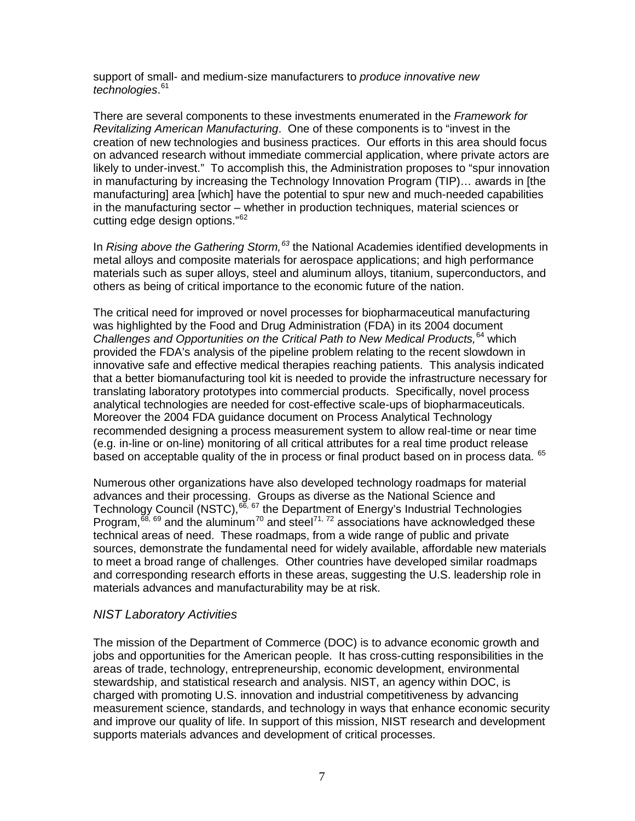support of small- and medium-size manufacturers to *produce innovative new technologies*. [61](#page-15-0)

There are several components to these investments enumerated in the *Framework for Revitalizing American Manufacturing*. One of these components is to "invest in the creation of new technologies and business practices. Our efforts in this area should focus on advanced research without immediate commercial application, where private actors are likely to under-invest." To accomplish this, the Administration proposes to "spur innovation in manufacturing by increasing the Technology Innovation Program (TIP)… awards in [the manufacturing] area [which] have the potential to spur new and much-needed capabilities in the manufacturing sector – whether in production techniques, material sciences or cutting edge design options."[62](#page-15-1)

In *Rising above the Gathering Storm,[63](#page-15-2)* the National Academies identified developments in metal alloys and composite materials for aerospace applications; and high performance materials such as super alloys, steel and aluminum alloys, titanium, superconductors, and others as being of critical importance to the economic future of the nation.

The critical need for improved or novel processes for biopharmaceutical manufacturing was highlighted by the Food and Drug Administration (FDA) in its 2004 document *Challenges and Opportunities on the Critical Path to New Medical Products,*[64](#page-15-3) which provided the FDA's analysis of the pipeline problem relating to the recent slowdown in innovative safe and effective medical therapies reaching patients. This analysis indicated that a better biomanufacturing tool kit is needed to provide the infrastructure necessary for translating laboratory prototypes into commercial products. Specifically, novel process analytical technologies are needed for cost-effective scale-ups of biopharmaceuticals. Moreover the 2004 FDA guidance document on Process Analytical Technology recommended designing a process measurement system to allow real-time or near time (e.g. in-line or on-line) monitoring of all critical attributes for a real time product release based on acceptable quality of the in process or final product based on in process data. [65](#page-15-4)

Numerous other organizations have also developed technology roadmaps for material advances and their processing. Groups as diverse as the National Science and Technology Council (NSTC),<sup>[66](#page-15-5), [67](#page-15-6)</sup> the Department of Energy's Industrial Technologies Program,  $^{68, 69}$  $^{68, 69}$  $^{68, 69}$  $^{68, 69}$  $^{68, 69}$  and the aluminum<sup>[70](#page-15-9)</sup> and steel<sup>[71](#page-15-10), [72](#page-15-11)</sup> associations have acknowledged these technical areas of need. These roadmaps, from a wide range of public and private sources, demonstrate the fundamental need for widely available, affordable new materials to meet a broad range of challenges. Other countries have developed similar roadmaps and corresponding research efforts in these areas, suggesting the U.S. leadership role in materials advances and manufacturability may be at risk.

#### *NIST Laboratory Activities*

The mission of the Department of Commerce (DOC) is to advance economic growth and jobs and opportunities for the American people. It has cross-cutting responsibilities in the areas of trade, technology, entrepreneurship, economic development, environmental stewardship, and statistical research and analysis. NIST, an agency within DOC, is charged with promoting U.S. innovation and industrial competitiveness by advancing measurement science, standards, and technology in ways that enhance economic security and improve our quality of life. In support of this mission, NIST research and development supports materials advances and development of critical processes.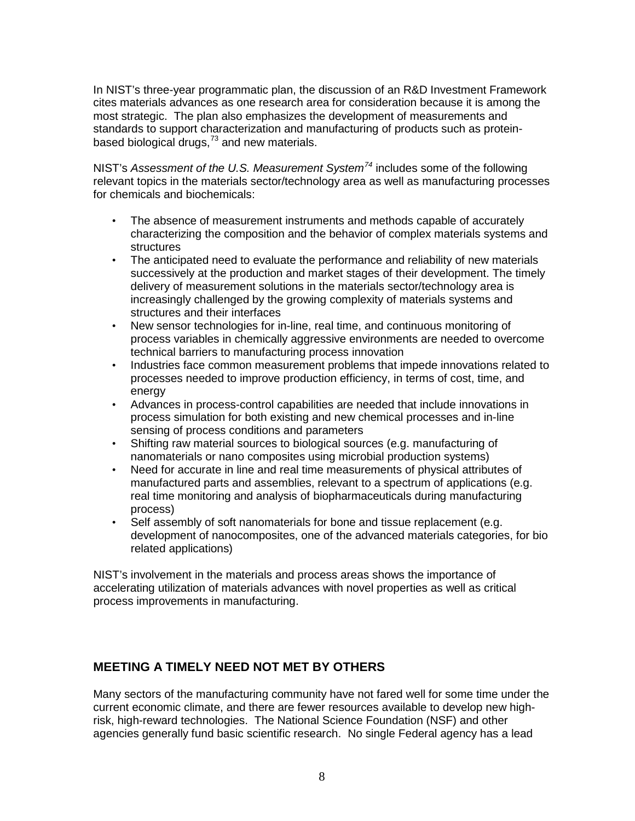In NIST's three-year programmatic plan, the discussion of an R&D Investment Framework cites materials advances as one research area for consideration because it is among the most strategic. The plan also emphasizes the development of measurements and standards to support characterization and manufacturing of products such as protein-based biological drugs,<sup>[73](#page-15-12)</sup> and new materials.

NIST's *Assessment of the U.S. Measurement System[74](#page-15-13)* includes some of the following relevant topics in the materials sector/technology area as well as manufacturing processes for chemicals and biochemicals:

- The absence of measurement instruments and methods capable of accurately characterizing the composition and the behavior of complex materials systems and **structures**
- The anticipated need to evaluate the performance and reliability of new materials successively at the production and market stages of their development. The timely delivery of measurement solutions in the materials sector/technology area is increasingly challenged by the growing complexity of materials systems and structures and their interfaces
- New sensor technologies for in-line, real time, and continuous monitoring of process variables in chemically aggressive environments are needed to overcome technical barriers to manufacturing process innovation
- Industries face common measurement problems that impede innovations related to processes needed to improve production efficiency, in terms of cost, time, and energy
- Advances in process-control capabilities are needed that include innovations in process simulation for both existing and new chemical processes and in-line sensing of process conditions and parameters
- Shifting raw material sources to biological sources (e.g. manufacturing of nanomaterials or nano composites using microbial production systems)
- Need for accurate in line and real time measurements of physical attributes of manufactured parts and assemblies, relevant to a spectrum of applications (e.g. real time monitoring and analysis of biopharmaceuticals during manufacturing process)
- Self assembly of soft nanomaterials for bone and tissue replacement (e.g. development of nanocomposites, one of the advanced materials categories, for bio related applications)

NIST's involvement in the materials and process areas shows the importance of accelerating utilization of materials advances with novel properties as well as critical process improvements in manufacturing.

## **MEETING A TIMELY NEED NOT MET BY OTHERS**

Many sectors of the manufacturing community have not fared well for some time under the current economic climate, and there are fewer resources available to develop new highrisk, high-reward technologies. The National Science Foundation (NSF) and other agencies generally fund basic scientific research. No single Federal agency has a lead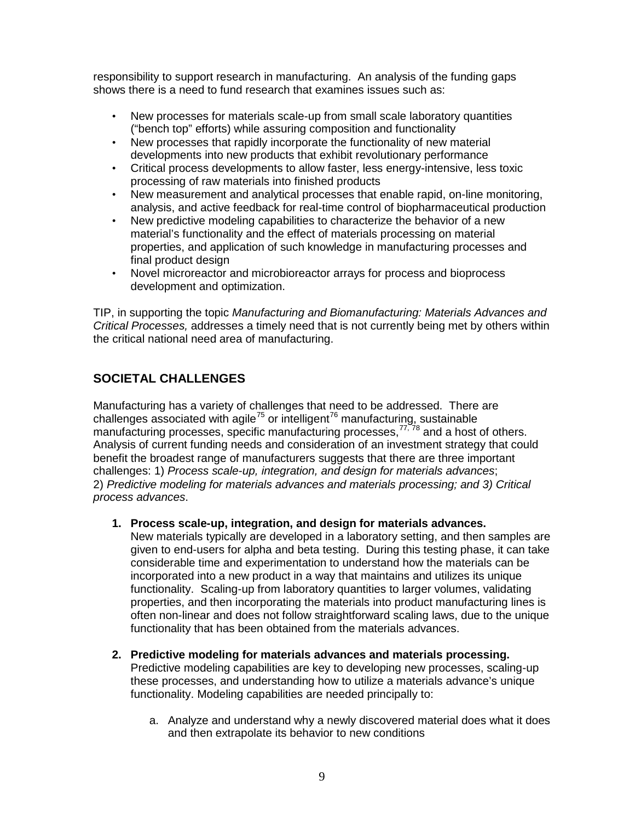responsibility to support research in manufacturing. An analysis of the funding gaps shows there is a need to fund research that examines issues such as:

- New processes for materials scale-up from small scale laboratory quantities ("bench top" efforts) while assuring composition and functionality
- New processes that rapidly incorporate the functionality of new material developments into new products that exhibit revolutionary performance
- Critical process developments to allow faster, less energy-intensive, less toxic processing of raw materials into finished products
- New measurement and analytical processes that enable rapid, on-line monitoring, analysis, and active feedback for real-time control of biopharmaceutical production
- New predictive modeling capabilities to characterize the behavior of a new material's functionality and the effect of materials processing on material properties, and application of such knowledge in manufacturing processes and final product design
- Novel microreactor and microbioreactor arrays for process and bioprocess development and optimization.

TIP, in supporting the topic *Manufacturing and Biomanufacturing: Materials Advances and Critical Processes,* addresses a timely need that is not currently being met by others within the critical national need area of manufacturing.

## **SOCIETAL CHALLENGES**

Manufacturing has a variety of challenges that need to be addressed. There are challenges associated with agile<sup>[75](#page-15-14)</sup> or intelligent<sup>[76](#page-15-15)</sup> manufacturing, sustainable manufacturing processes, specific manufacturing processes,<sup>[77,](#page-15-16)[78](#page-15-17)</sup> and a host of others. 2) *Predictive modeling for materials advances and materials processing; and 3) Critical process advances*. Analysis of current funding needs and consideration of an investment strategy that could benefit the broadest range of manufacturers suggests that there are three important challenges: 1) *Process scale-up, integration, and design for materials advances*;

#### **1. Process scale-up, integration, and design for materials advances.**

New materials typically are developed in a laboratory setting, and then samples are given to end-users for alpha and beta testing. During this testing phase, it can take considerable time and experimentation to understand how the materials can be incorporated into a new product in a way that maintains and utilizes its unique functionality. Scaling-up from laboratory quantities to larger volumes, validating properties, and then incorporating the materials into product manufacturing lines is often non-linear and does not follow straightforward scaling laws, due to the unique functionality that has been obtained from the materials advances.

- **2. Predictive modeling for materials advances and materials processing.** Predictive modeling capabilities are key to developing new processes, scaling-up these processes, and understanding how to utilize a materials advance's unique functionality. Modeling capabilities are needed principally to:
	- a. Analyze and understand why a newly discovered material does what it does and then extrapolate its behavior to new conditions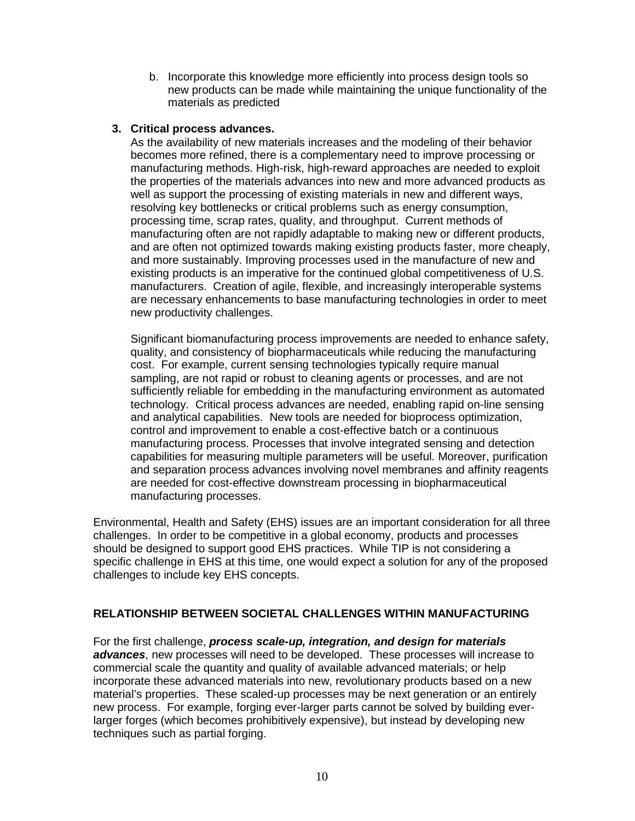b. Incorporate this knowledge more efficiently into process design tools so new products can be made while maintaining the unique functionality of the materials as predicted

#### **3. Critical process advances.**

As the availability of new materials increases and the modeling of their behavior becomes more refined, there is a complementary need to improve processing or manufacturing methods. High-risk, high-reward approaches are needed to exploit the properties of the materials advances into new and more advanced products as well as support the processing of existing materials in new and different ways, resolving key bottlenecks or critical problems such as energy consumption, processing time, scrap rates, quality, and throughput. Current methods of manufacturing often are not rapidly adaptable to making new or different products, and are often not optimized towards making existing products faster, more cheaply, and more sustainably. Improving processes used in the manufacture of new and existing products is an imperative for the continued global competitiveness of U.S. manufacturers. Creation of agile, flexible, and increasingly interoperable systems are necessary enhancements to base manufacturing technologies in order to meet new productivity challenges.

Significant biomanufacturing process improvements are needed to enhance safety, quality, and consistency of biopharmaceuticals while reducing the manufacturing cost. For example, current sensing technologies typically require manual sampling, are not rapid or robust to cleaning agents or processes, and are not sufficiently reliable for embedding in the manufacturing environment as automated technology. Critical process advances are needed, enabling rapid on-line sensing and analytical capabilities. New tools are needed for bioprocess optimization, control and improvement to enable a cost-effective batch or a continuous manufacturing process. Processes that involve integrated sensing and detection capabilities for measuring multiple parameters will be useful. Moreover, purification and separation process advances involving novel membranes and affinity reagents are needed for cost-effective downstream processing in biopharmaceutical manufacturing processes.

Environmental, Health and Safety (EHS) issues are an important consideration for all three challenges. In order to be competitive in a global economy, products and processes should be designed to support good EHS practices. While TIP is not considering a specific challenge in EHS at this time, one would expect a solution for any of the proposed challenges to include key EHS concepts.

#### **RELATIONSHIP BETWEEN SOCIETAL CHALLENGES WITHIN MANUFACTURING**

For the first challenge, *process scale-up, integration, and design for materials advances*, new processes will need to be developed. These processes will increase to commercial scale the quantity and quality of available advanced materials; or help incorporate these advanced materials into new, revolutionary products based on a new material's properties. These scaled-up processes may be next generation or an entirely new process. For example, forging ever-larger parts cannot be solved by building everlarger forges (which becomes prohibitively expensive), but instead by developing new techniques such as partial forging.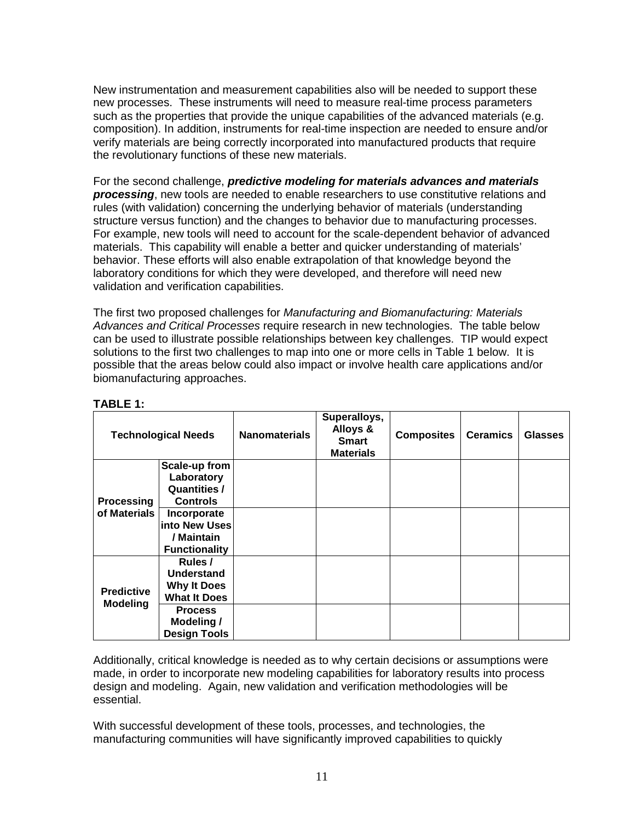New instrumentation and measurement capabilities also will be needed to support these new processes. These instruments will need to measure real-time process parameters such as the properties that provide the unique capabilities of the advanced materials (e.g. composition). In addition, instruments for real-time inspection are needed to ensure and/or verify materials are being correctly incorporated into manufactured products that require the revolutionary functions of these new materials.

For the second challenge, *predictive modeling for materials advances and materials processing*, new tools are needed to enable researchers to use constitutive relations and rules (with validation) concerning the underlying behavior of materials (understanding structure versus function) and the changes to behavior due to manufacturing processes. For example, new tools will need to account for the scale-dependent behavior of advanced materials. This capability will enable a better and quicker understanding of materials' behavior. These efforts will also enable extrapolation of that knowledge beyond the laboratory conditions for which they were developed, and therefore will need new validation and verification capabilities.

The first two proposed challenges for *Manufacturing and Biomanufacturing: Materials Advances and Critical Processes* require research in new technologies. The table below can be used to illustrate possible relationships between key challenges. TIP would expect solutions to the first two challenges to map into one or more cells in Table 1 below. It is possible that the areas below could also impact or involve health care applications and/or biomanufacturing approaches.

| <b>Technological Needs</b>           |                                                                       | <b>Nanomaterials</b> | Superalloys,<br>Alloys &<br><b>Smart</b><br><b>Materials</b> | <b>Composites</b> | <b>Ceramics</b> | <b>Glasses</b> |
|--------------------------------------|-----------------------------------------------------------------------|----------------------|--------------------------------------------------------------|-------------------|-----------------|----------------|
| Processing<br>of Materials           | Scale-up from<br>Laboratory<br><b>Quantities /</b><br><b>Controls</b> |                      |                                                              |                   |                 |                |
|                                      | Incorporate<br>into New Uses<br>/ Maintain<br><b>Functionality</b>    |                      |                                                              |                   |                 |                |
| <b>Predictive</b><br><b>Modeling</b> | Rules /<br>Understand<br><b>Why It Does</b><br><b>What It Does</b>    |                      |                                                              |                   |                 |                |
|                                      | <b>Process</b><br>Modeling /<br><b>Design Tools</b>                   |                      |                                                              |                   |                 |                |

| I | . .<br>ч. |  |  |
|---|-----------|--|--|
|   |           |  |  |

Additionally, critical knowledge is needed as to why certain decisions or assumptions were made, in order to incorporate new modeling capabilities for laboratory results into process design and modeling. Again, new validation and verification methodologies will be essential.

With successful development of these tools, processes, and technologies, the manufacturing communities will have significantly improved capabilities to quickly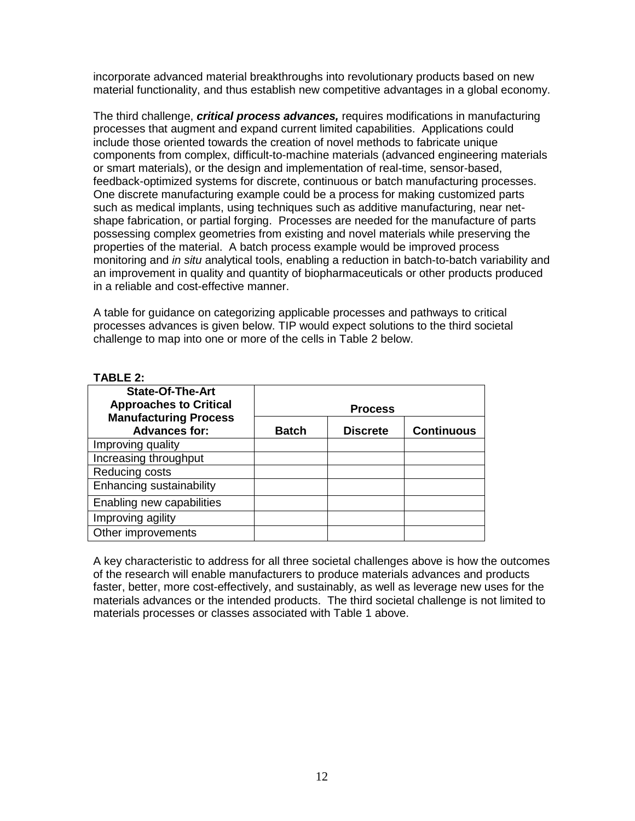incorporate advanced material breakthroughs into revolutionary products based on new material functionality, and thus establish new competitive advantages in a global economy.

The third challenge, *critical process advances,* requires modifications in manufacturing processes that augment and expand current limited capabilities. Applications could include those oriented towards the creation of novel methods to fabricate unique components from complex, difficult-to-machine materials (advanced engineering materials or smart materials), or the design and implementation of real-time, sensor-based, feedback-optimized systems for discrete, continuous or batch manufacturing processes. One discrete manufacturing example could be a process for making customized parts such as medical implants, using techniques such as additive manufacturing, near netshape fabrication, or partial forging. Processes are needed for the manufacture of parts possessing complex geometries from existing and novel materials while preserving the properties of the material. A batch process example would be improved process monitoring and *in situ* analytical tools, enabling a reduction in batch-to-batch variability and an improvement in quality and quantity of biopharmaceuticals or other products produced in a reliable and cost-effective manner.

A table for guidance on categorizing applicable processes and pathways to critical processes advances is given below. TIP would expect solutions to the third societal challenge to map into one or more of the cells in Table 2 below.

#### **TABLE 2:**

| <b>State-Of-The-Art</b><br><b>Approaches to Critical</b> | <b>Process</b> |                 |                   |  |
|----------------------------------------------------------|----------------|-----------------|-------------------|--|
| <b>Manufacturing Process</b><br><b>Advances for:</b>     | <b>Batch</b>   | <b>Discrete</b> | <b>Continuous</b> |  |
| Improving quality                                        |                |                 |                   |  |
| Increasing throughput                                    |                |                 |                   |  |
| Reducing costs                                           |                |                 |                   |  |
| Enhancing sustainability                                 |                |                 |                   |  |
| Enabling new capabilities                                |                |                 |                   |  |
| Improving agility                                        |                |                 |                   |  |
| Other improvements                                       |                |                 |                   |  |

A key characteristic to address for all three societal challenges above is how the outcomes of the research will enable manufacturers to produce materials advances and products faster, better, more cost-effectively, and sustainably, as well as leverage new uses for the materials advances or the intended products. The third societal challenge is not limited to materials processes or classes associated with Table 1 above.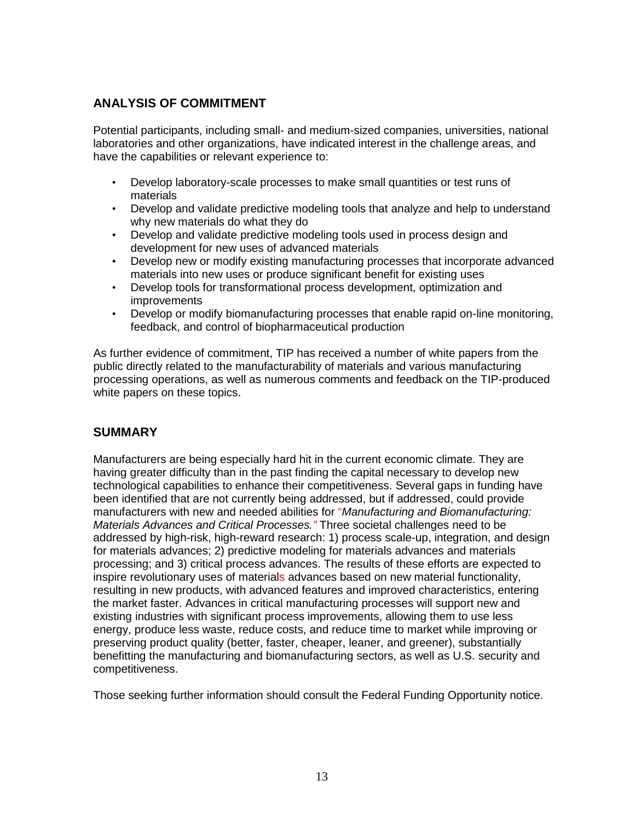## **ANALYSIS OF COMMITMENT**

Potential participants, including small- and medium-sized companies, universities, national laboratories and other organizations, have indicated interest in the challenge areas, and have the capabilities or relevant experience to:

- Develop laboratory-scale processes to make small quantities or test runs of materials
- Develop and validate predictive modeling tools that analyze and help to understand why new materials do what they do
- Develop and validate predictive modeling tools used in process design and development for new uses of advanced materials
- Develop new or modify existing manufacturing processes that incorporate advanced materials into new uses or produce significant benefit for existing uses
- Develop tools for transformational process development, optimization and improvements
- Develop or modify biomanufacturing processes that enable rapid on-line monitoring, feedback, and control of biopharmaceutical production

As further evidence of commitment, TIP has received a number of white papers from the public directly related to the manufacturability of materials and various manufacturing processing operations, as well as numerous comments and feedback on the TIP-produced white papers on these topics.

## **SUMMARY**

Manufacturers are being especially hard hit in the current economic climate. They are having greater difficulty than in the past finding the capital necessary to develop new technological capabilities to enhance their competitiveness. Several gaps in funding have been identified that are not currently being addressed, but if addressed, could provide manufacturers with new and needed abilities for "*Manufacturing and Biomanufacturing: Materials Advances and Critical Processes."* Three societal challenges need to be addressed by high-risk, high-reward research: 1) process scale-up, integration, and design for materials advances; 2) predictive modeling for materials advances and materials processing; and 3) critical process advances. The results of these efforts are expected to inspire revolutionary uses of materials advances based on new material functionality, resulting in new products, with advanced features and improved characteristics, entering the market faster. Advances in critical manufacturing processes will support new and existing industries with significant process improvements, allowing them to use less energy, produce less waste, reduce costs, and reduce time to market while improving or preserving product quality (better, faster, cheaper, leaner, and greener), substantially benefitting the manufacturing and biomanufacturing sectors, as well as U.S. security and competitiveness.

Those seeking further information should consult the Federal Funding Opportunity notice.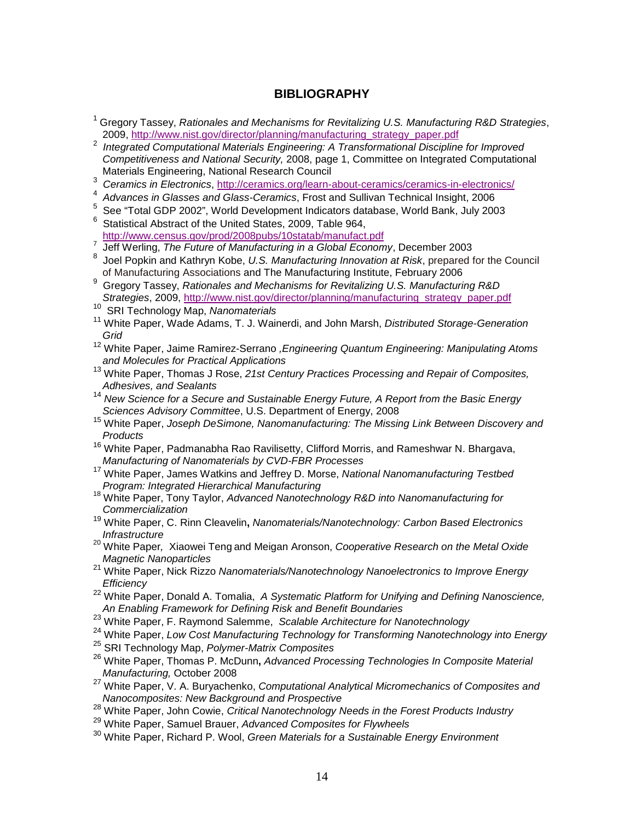### **BIBLIOGRAPHY**

- <span id="page-13-0"></span><sup>1</sup> Gregory Tassey, *Rationales and Mechanisms for Revitalizing U.S. Manufacturing R&D Strategies*, 2009, [http://www.nist.gov/director/planning/manufacturing\\_strategy\\_paper.pdf](http://www.nist.gov/director/planning/manufacturing_strategy_paper.pdf)
- <span id="page-13-1"></span><sup>2</sup> *Integrated Computational Materials Engineering: A Transformational Discipline for Improved Competitiveness and National Security,* 2008, page 1, Committee on Integrated Computational Materials Engineering, National Research Council
- <span id="page-13-2"></span><sup>3</sup> *Ceramics in Electronics*,<http://ceramics.org/learn-about-ceramics/ceramics-in-electronics/>
- <span id="page-13-3"></span><sup>4</sup> *Advances in Glasses and Glass-Ceramics*, Frost and Sullivan Technical Insight, 2006
- <span id="page-13-4"></span> $^5$  See "Total GDP 2002", World Development Indicators database, World Bank, July 2003
- <span id="page-13-5"></span>Statistical Abstract of the United States, 2009, Table 964,<br>http://www.census.gov/prod/2008pubs/10statab/manufact.pdf
- <span id="page-13-6"></span>Finder The Future of Manufacturing in a Global Economy, December 2003<br><sup>8</sup> Jeel Penkin and Kathrup Kebe, *J.J.S. Manufacturing Innovation at Piek* prepared t
- <span id="page-13-7"></span><sup>8</sup> Joel Popkin and Kathryn Kobe, *U.S. Manufacturing Innovation at Risk*, prepared for the Council of Manufacturing Associations and The Manufacturing Institute, February 2006
- <span id="page-13-8"></span><sup>9</sup> Gregory Tassey, *Rationales and Mechanisms for Revitalizing U.S. Manufacturing R&D Strategies*, 2009, [http://www.nist.gov/director/planning/manufacturing\\_strategy\\_paper.pdf](http://www.nist.gov/director/planning/manufacturing_strategy_paper.pdf)
- <span id="page-13-9"></span><sup>10</sup> SRI Technology Map, *Nanomaterials*
- <span id="page-13-10"></span><sup>11</sup> White Paper, Wade Adams, T. J. Wainerdi, and John Marsh, *Distributed Storage-Generation Grid*
- <span id="page-13-11"></span><sup>12</sup> White Paper, Jaime Ramirez-Serrano *,Engineering Quantum Engineering: Manipulating Atoms and Molecules for Practical Applications*
- <span id="page-13-12"></span><sup>13</sup> White Paper, Thomas J Rose, 21st Century Practices Processing and Repair of Composites, *Adhesives, and Sealants*
- <span id="page-13-13"></span><sup>14</sup> *New Science for a Secure and Sustainable Energy Future, A Report from the Basic Energy Sciences Advisory Committee*, U.S. Department of Energy, 2008
- <span id="page-13-14"></span><sup>15</sup> White Paper, *Joseph DeSimone, Nanomanufacturing: The Missing Link Between Discovery and Products*
- <span id="page-13-15"></span><sup>16</sup> White Paper, Padmanabha Rao Ravilisetty, Clifford Morris, and Rameshwar N. Bhargava, *Manufacturing of Nanomaterials by CVD-FBR Processes*
- <span id="page-13-16"></span><sup>17</sup> White Paper, James Watkins and Jeffrey D. Morse, *National Nanomanufacturing Testbed*
- <span id="page-13-17"></span>*Program: Integrated Hierarchical Manufacturing* <sup>18</sup> White Paper, Tony Taylor, *Advanced Nanotechnology R&D into Nanomanufacturing for Commercialization*
- <span id="page-13-18"></span><sup>19</sup> White Paper, C. Rinn Cleavelin**,** *Nanomaterials/Nanotechnology: Carbon Based Electronics Infrastructure*
- <span id="page-13-19"></span><sup>20</sup> White Paper*,* Xiaowei Teng and Meigan Aronson, *Cooperative Research on the Metal Oxide Magnetic Nanoparticles*
- <span id="page-13-20"></span><sup>21</sup> White Paper, Nick Rizzo *Nanomaterials/Nanotechnology Nanoelectronics to Improve Energy Efficiency*
- <span id="page-13-21"></span><sup>22</sup> White Paper, Donald A. Tomalia, *A Systematic Platform for Unifying and Defining Nanoscience, An Enabling Framework for Defining Risk and Benefit Boundaries*
- <span id="page-13-22"></span><sup>23</sup> White Paper, F. Raymond Salemme, *Scalable Architecture for Nanotechnology*
- <span id="page-13-23"></span><sup>24</sup> White Paper, *Low Cost Manufacturing Technology for Transforming Nanotechnology into Energy*
- <span id="page-13-24"></span><sup>25</sup> SRI Technology Map, *Polymer-Matrix Composites*
- <span id="page-13-25"></span><sup>26</sup> White Paper, Thomas P. McDunn**,** *Advanced Processing Technologies In Composite Material Manufacturing,* October 2008
- <span id="page-13-26"></span><sup>27</sup> White Paper, V. A. Buryachenko, *Computational Analytical Micromechanics of Composites and Nanocomposites: New Background and Prospective*
- <span id="page-13-27"></span><sup>28</sup> White Paper, John Cowie, *Critical Nanotechnology Needs in the Forest Products Industry*
- <span id="page-13-28"></span><sup>29</sup> White Paper, Samuel Brauer, *Advanced Composites for Flywheels*
- <span id="page-13-29"></span><sup>30</sup> White Paper, Richard P. Wool, *Green Materials for a Sustainable Energy Environment*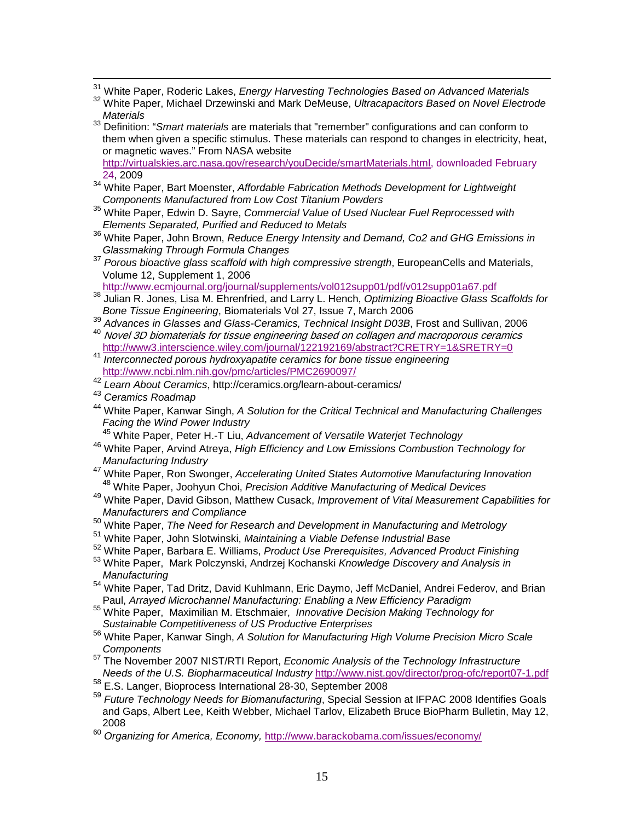- 
- <span id="page-14-1"></span><span id="page-14-0"></span><sup>31</sup> White Paper, Roderic Lakes, *Energy Harvesting Technologies Based on Advanced Materials*<br><sup>32</sup> White Paper, Michael Drzewinski and Mark DeMeuse, *Ultracapacitors Based on Novel Electrode Materials*
- <span id="page-14-2"></span><sup>33</sup> Definition: "*Smart materials* are materials that "remember" configurations and can conform to them when given a specific stimulus. These materials can respond to changes in electricity, heat, or magnetic waves." From NASA website

[http://virtualskies.arc.nasa.gov/research/youDecide/smartMaterials.html,](http://virtualskies.arc.nasa.gov/research/youDecide/smartMaterials.html,%20downloaded%20February%2024) downloaded February [24,](http://virtualskies.arc.nasa.gov/research/youDecide/smartMaterials.html,%20downloaded%20February%2024) 2009

- <span id="page-14-3"></span><sup>34</sup> White Paper, Bart Moenster, *Affordable Fabrication Methods Development for Lightweight Components Manufactured from Low Cost Titanium Powders*
- <span id="page-14-4"></span><sup>35</sup> White Paper, Edwin D. Sayre, *Commercial Value of Used Nuclear Fuel Reprocessed with Elements Separated, Purified and Reduced to Metals*
- <span id="page-14-5"></span><sup>36</sup> White Paper, John Brown, *Reduce Energy Intensity and Demand, Co2 and GHG Emissions in Glassmaking Through Formula Changes*
- <span id="page-14-6"></span><sup>37</sup> *Porous bioactive glass scaffold with high compressive strength*, EuropeanCells and Materials, Volume 12, Supplement 1, 2006

- <span id="page-14-7"></span><http://www.ecmjournal.org/journal/supplements/vol012supp01/pdf/v012supp01a67.pdf> <sup>38</sup> Julian R. Jones, Lisa M. Ehrenfried, and Larry L. Hench, *Optimizing Bioactive Glass Scaffolds for Bone Tissue Engineering*, Biomaterials Vol 27, Issue 7, March 2006
- <span id="page-14-8"></span><sup>39</sup> *Advances in Glasses and Glass-Ceramics, Technical Insight D03B*, Frost and Sullivan, 2006 <sup>40</sup> Novel 3D biomaterials for tissue engineering based on collagen and macroporous ceramics<br>http://www3.interscience.wiley.com/journal/122192169/abstract?CRETRY=1&SRETRY=0
- <span id="page-14-10"></span><span id="page-14-9"></span><http://www3.interscience.wiley.com/journal/122192169/abstract?CRETRY=1&SRETRY=0> <sup>41</sup> *Interconnected porous hydroxyapatite ceramics for bone tissue engineering* <http://www.ncbi.nlm.nih.gov/pmc/articles/PMC2690097/>
- <sup>42</sup> *Learn About Ceramics*, http://ceramics.org/learn-about-ceramics/
- <span id="page-14-12"></span><span id="page-14-11"></span><sup>43</sup> *Ceramics Roadmap*
- <span id="page-14-13"></span><sup>44</sup> White Paper, Kanwar Singh, *A Solution for the Critical Technical and Manufacturing Challenges Facing the Wind Power Industry*
	- <sup>45</sup> White Paper, Peter H.-T Liu, *Advancement of Versatile Waterjet Technology*
- <span id="page-14-15"></span><span id="page-14-14"></span><sup>46</sup> White Paper, Arvind Atreya, *High Efficiency and Low Emissions Combustion Technology for Manufacturing Industry*
- <span id="page-14-16"></span><sup>47</sup> White Paper, Ron Swonger, *Accelerating United States Automotive Manufacturing Innovation* <sup>48</sup> White Paper, Joohyun Choi, *Precision Additive Manufacturing of Medical Devices*
- <span id="page-14-18"></span><span id="page-14-17"></span><sup>49</sup> White Paper, David Gibson, Matthew Cusack, *Improvement of Vital Measurement Capabilities for Manufacturers and Compliance*
- <span id="page-14-19"></span><sup>50</sup> White Paper, *The Need for Research and Development in Manufacturing and Metrology*
- <span id="page-14-20"></span><sup>51</sup> White Paper, John Slotwinski, *Maintaining a Viable Defense Industrial Base*
- <span id="page-14-22"></span><span id="page-14-21"></span><sup>52</sup> White Paper, Barbara E. Williams, *Product Use Prerequisites, Advanced Product Finishing* <sup>53</sup> White Paper, Mark Polczynski, Andrzej Kochanski *Knowledge Discovery and Analysis in*
- *Manufacturing*
- <span id="page-14-23"></span><sup>54</sup> White Paper, Tad Dritz, David Kuhlmann, Eric Daymo, Jeff McDaniel, Andrei Federov, and Brian<br>Paul, *Arraved Microchannel Manufacturing: Enabling a New Efficiency Paradigm*
- <span id="page-14-24"></span>Paul, *Arrayed Microchannel Manufacturing: Enabling a New Efficiency Paradigm* <sup>55</sup> White Paper, Maximilian M. Etschmaier, *Innovative Decision Making Technology for Sustainable Competitiveness of US Productive Enterprises*
- <span id="page-14-25"></span><sup>56</sup> White Paper, Kanwar Singh, *A Solution for Manufacturing High Volume Precision Micro Scale*
- <span id="page-14-26"></span>*Components* <sup>57</sup> The November 2007 NIST/RTI Report, *Economic Analysis of the Technology Infrastructure Needs of the U.S. Biopharmaceutical Industry* <http://www.nist.gov/director/prog-ofc/report07-1.pdf>
- <span id="page-14-27"></span><sup>58</sup> E.S. Langer, Bioprocess International 28-30, September 2008
- <span id="page-14-28"></span><sup>59</sup> *Future Technology Needs for Biomanufacturing*, Special Session at IFPAC 2008 Identifies Goals and Gaps, Albert Lee, Keith Webber, Michael Tarlov, Elizabeth Bruce BioPharm Bulletin, May 12, 2008
- <span id="page-14-29"></span><sup>60</sup> *Organizing for America, Economy,* <http://www.barackobama.com/issues/economy/>